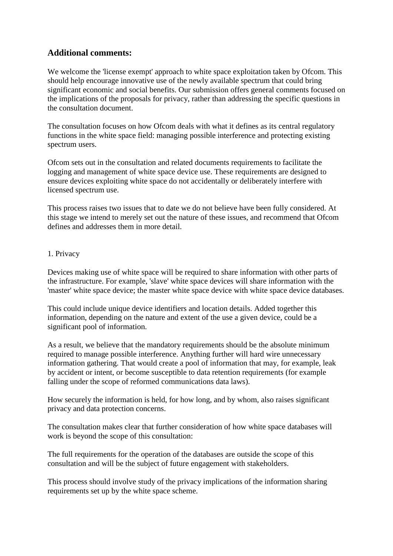## **Additional comments:**

We welcome the 'license exempt' approach to white space exploitation taken by Ofcom. This should help encourage innovative use of the newly available spectrum that could bring significant economic and social benefits. Our submission offers general comments focused on the implications of the proposals for privacy, rather than addressing the specific questions in the consultation document.

The consultation focuses on how Ofcom deals with what it defines as its central regulatory functions in the white space field: managing possible interference and protecting existing spectrum users.

Ofcom sets out in the consultation and related documents requirements to facilitate the logging and management of white space device use. These requirements are designed to ensure devices exploiting white space do not accidentally or deliberately interfere with licensed spectrum use.

This process raises two issues that to date we do not believe have been fully considered. At this stage we intend to merely set out the nature of these issues, and recommend that Ofcom defines and addresses them in more detail.

## 1. Privacy

Devices making use of white space will be required to share information with other parts of the infrastructure. For example, 'slave' white space devices will share information with the 'master' white space device; the master white space device with white space device databases.

This could include unique device identifiers and location details. Added together this information, depending on the nature and extent of the use a given device, could be a significant pool of information.

As a result, we believe that the mandatory requirements should be the absolute minimum required to manage possible interference. Anything further will hard wire unnecessary information gathering. That would create a pool of information that may, for example, leak by accident or intent, or become susceptible to data retention requirements (for example falling under the scope of reformed communications data laws).

How securely the information is held, for how long, and by whom, also raises significant privacy and data protection concerns.

The consultation makes clear that further consideration of how white space databases will work is beyond the scope of this consultation:

The full requirements for the operation of the databases are outside the scope of this consultation and will be the subject of future engagement with stakeholders.

This process should involve study of the privacy implications of the information sharing requirements set up by the white space scheme.